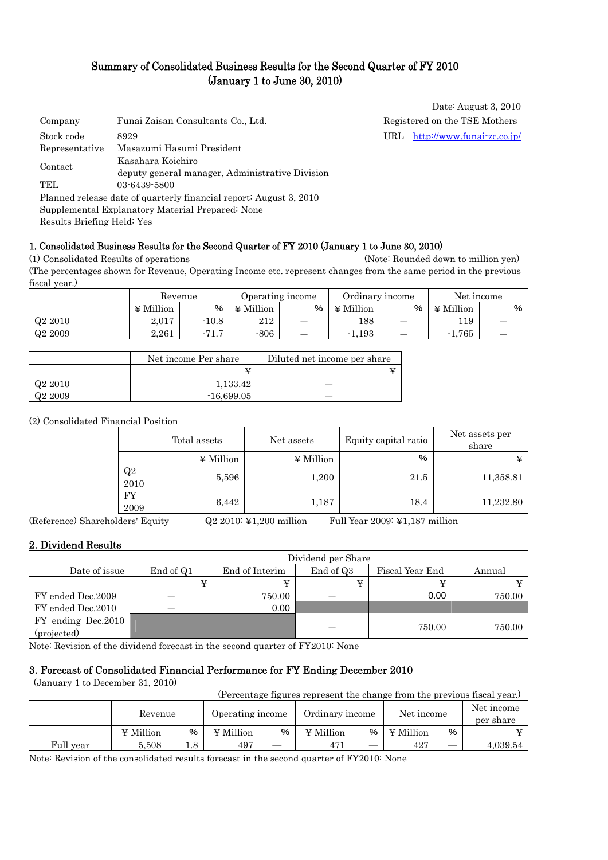## Summary of Consolidated Business Results for the Second Quarter of FY 2010 (January 1 to June 30, 2010)

| Company        | Funai Zaisan Consultants Co., Ltd.                                 |     | Registered on the TSE Mothers |
|----------------|--------------------------------------------------------------------|-----|-------------------------------|
| Stock code     | 8929                                                               | URL | http://www.funai-zc.co.jp/    |
| Representative | Masazumi Hasumi President                                          |     |                               |
|                | Kasahara Koichiro                                                  |     |                               |
| Contact        | deputy general manager, Administrative Division                    |     |                               |
| TEL.           | 03-6439-5800                                                       |     |                               |
|                | Planned release date of quarterly financial report: August 3, 2010 |     |                               |
|                | Supplemental Explanatory Material Prepared: None                   |     |                               |
|                |                                                                    |     |                               |

Results Briefing Held: Yes

#### 1. Consolidated Business Results for the Second Quarter of FY 2010 (January 1 to June 30, 2010)

(1) Consolidated Results of operations (Note: Rounded down to million yen) (The percentages shown for Revenue, Operating Income etc. represent changes from the same period in the previous fiscal year.)

|         | Revenue          |         |           | Operating income         |                  | Ordinary income | Net income |   |
|---------|------------------|---------|-----------|--------------------------|------------------|-----------------|------------|---|
|         | $\angle$ Million | %       | ¥ Million | %                        | $\angle$ Million | %               | ¥ Million  | % |
| Q2 2010 | 2,017            | $-10.8$ | 212       | –                        | 188              |                 | 119        |   |
| Q2 2009 | 2.261            | $-71.7$ | $-806$    | $\overline{\phantom{a}}$ | 1,193<br>- 1     |                 | $-1,765$   |   |

|                     | Net income Per share | Diluted net income per share |
|---------------------|----------------------|------------------------------|
|                     |                      |                              |
| Q <sub>2</sub> 2010 | 1,133.42             |                              |
| Q <sub>2</sub> 2009 | $-16,699.05$         |                              |

(2) Consolidated Financial Position

|            | Total assets     | Net assets       | Equity capital ratio | Net assets per<br>share |
|------------|------------------|------------------|----------------------|-------------------------|
|            | $\angle$ Million | $\angle$ Million | %                    |                         |
| Q2<br>2010 | 5,596            | 1,200            | 21.5                 | 11,358.81               |
| FY<br>2009 | 6,442            | 1,187            | 18.4                 | 11,232.80               |

(Reference) Shareholders' Equity Q2 2010: ¥1,200 million Full Year 2009: ¥1,187 million

Date: August 3, 2010

#### 2. Dividend Results

|                     | Dividend per Share |                |           |                 |        |  |
|---------------------|--------------------|----------------|-----------|-----------------|--------|--|
| Date of issue       | End of Q1          | End of Interim | End of Q3 | Fiscal Year End | Annual |  |
|                     | ¥                  | ¥              |           | ¥               |        |  |
| FY ended Dec.2009   |                    | 750.00         |           | 0.00            | 750.00 |  |
| FY ended Dec.2010   |                    | 0.00           |           |                 |        |  |
| FY ending Dec. 2010 |                    |                |           |                 |        |  |
| (projected)         |                    |                |           | 750.00          | 750.00 |  |

Note: Revision of the dividend forecast in the second quarter of FY2010: None

#### 3. Forecast of Consolidated Financial Performance for FY Ending December 2010

(January 1 to December 31, 2010)

|           |                |     |                  |   | (Percentage figures represent the change from the previous fiscal year.) |   |                  |   |                         |
|-----------|----------------|-----|------------------|---|--------------------------------------------------------------------------|---|------------------|---|-------------------------|
|           | Revenue        |     | Operating income |   | Ordinary income                                                          |   | Net income       |   | Net income<br>per share |
|           | $\Psi$ Million | %   | $\Psi$ Million   | % | $\angle$ Million                                                         | % | $\angle$ Million | % |                         |
| Full year | 5.508          | 1.8 | 497              |   |                                                                          |   | 427              |   | 4,039.54                |

Note: Revision of the consolidated results forecast in the second quarter of FY2010: None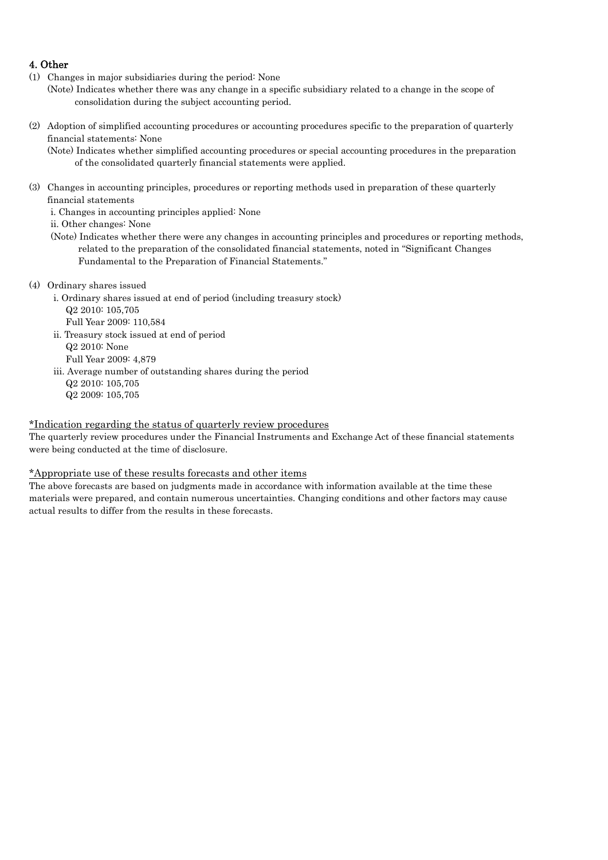### 4. Other

- (1) Changes in major subsidiaries during the period: None
- (Note) Indicates whether there was any change in a specific subsidiary related to a change in the scope of consolidation during the subject accounting period.
- (2) Adoption of simplified accounting procedures or accounting procedures specific to the preparation of quarterly financial statements: None

(Note) Indicates whether simplified accounting procedures or special accounting procedures in the preparation of the consolidated quarterly financial statements were applied.

(3) Changes in accounting principles, procedures or reporting methods used in preparation of these quarterly financial statements

i. Changes in accounting principles applied: None

ii. Other changes: None

- (Note) Indicates whether there were any changes in accounting principles and procedures or reporting methods, related to the preparation of the consolidated financial statements, noted in "Significant Changes Fundamental to the Preparation of Financial Statements."
- (4) Ordinary shares issued
	- i. Ordinary shares issued at end of period (including treasury stock) Q2 2010: 105,705
		- Full Year 2009: 110,584
	- ii. Treasury stock issued at end of period
		- Q2 2010: None
		- Full Year 2009: 4,879
	- iii. Average number of outstanding shares during the period
		- Q2 2010: 105,705
		- Q2 2009: 105,705

#### \*Indication regarding the status of quarterly review procedures

The quarterly review procedures under the Financial Instruments and Exchange Act of these financial statements were being conducted at the time of disclosure.

#### \*Appropriate use of these results forecasts and other items

The above forecasts are based on judgments made in accordance with information available at the time these materials were prepared, and contain numerous uncertainties. Changing conditions and other factors may cause actual results to differ from the results in these forecasts.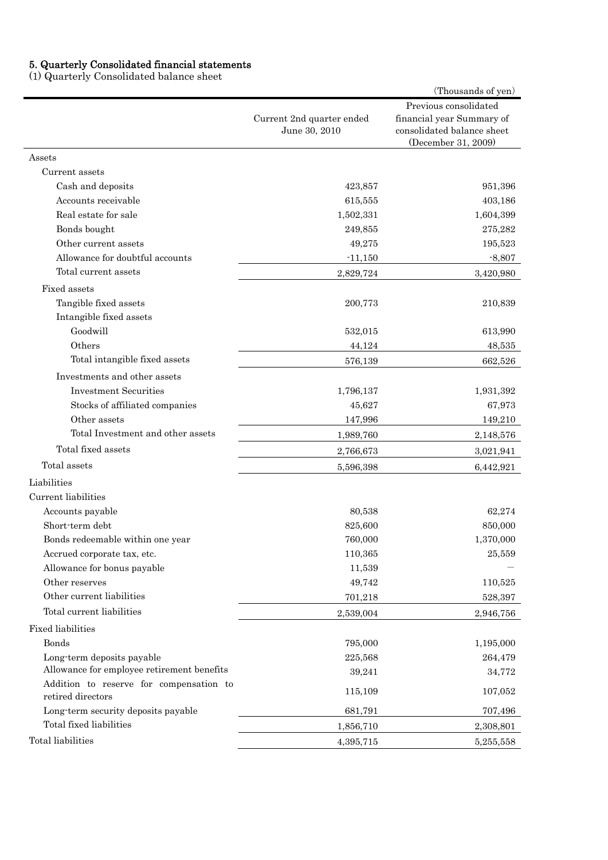#### 5. Quarterly Consolidated financial statements

(1) Quarterly Consolidated balance sheet

|                                                              |                                            | (Thousands of yen)                                                                                      |
|--------------------------------------------------------------|--------------------------------------------|---------------------------------------------------------------------------------------------------------|
|                                                              | Current 2nd quarter ended<br>June 30, 2010 | Previous consolidated<br>financial year Summary of<br>consolidated balance sheet<br>(December 31, 2009) |
| Assets                                                       |                                            |                                                                                                         |
| Current assets                                               |                                            |                                                                                                         |
| Cash and deposits                                            | 423,857                                    | 951,396                                                                                                 |
| Accounts receivable                                          | 615,555                                    | 403,186                                                                                                 |
| Real estate for sale                                         | 1,502,331                                  | 1,604,399                                                                                               |
| Bonds bought                                                 | 249,855                                    | 275,282                                                                                                 |
| Other current assets                                         | 49,275                                     | 195,523                                                                                                 |
| Allowance for doubtful accounts                              | $-11,150$                                  | $-8,807$                                                                                                |
| Total current assets                                         | 2,829,724                                  | 3,420,980                                                                                               |
| Fixed assets                                                 |                                            |                                                                                                         |
| Tangible fixed assets                                        | 200,773                                    | 210,839                                                                                                 |
| Intangible fixed assets<br>Goodwill                          | 532,015                                    | 613,990                                                                                                 |
| Others                                                       | 44,124                                     | 48,535                                                                                                  |
| Total intangible fixed assets                                | 576,139                                    | 662,526                                                                                                 |
| Investments and other assets                                 |                                            |                                                                                                         |
| <b>Investment Securities</b>                                 | 1,796,137                                  | 1,931,392                                                                                               |
| Stocks of affiliated companies                               | 45,627                                     | 67,973                                                                                                  |
| Other assets                                                 | 147,996                                    | 149,210                                                                                                 |
| Total Investment and other assets                            | 1,989,760                                  | 2,148,576                                                                                               |
| Total fixed assets                                           | 2,766,673                                  | 3,021,941                                                                                               |
| Total assets                                                 | 5,596,398                                  | 6,442,921                                                                                               |
| Liabilities                                                  |                                            |                                                                                                         |
| Current liabilities                                          |                                            |                                                                                                         |
| Accounts payable                                             | 80,538                                     | 62,274                                                                                                  |
| Short-term debt                                              | 825,600                                    | 850,000                                                                                                 |
| Bonds redeemable within one year                             | 760,000                                    | 1,370,000                                                                                               |
| Accrued corporate tax, etc.                                  | 110,365                                    | 25,559                                                                                                  |
| Allowance for bonus payable                                  | 11,539                                     |                                                                                                         |
| Other reserves                                               | 49,742                                     | 110,525                                                                                                 |
| Other current liabilities                                    | 701,218                                    | 528,397                                                                                                 |
| Total current liabilities                                    | 2,539,004                                  | 2,946,756                                                                                               |
| <b>Fixed liabilities</b>                                     |                                            |                                                                                                         |
| <b>Bonds</b>                                                 | 795,000                                    | 1,195,000                                                                                               |
| Long-term deposits payable                                   | 225,568                                    | 264,479                                                                                                 |
| Allowance for employee retirement benefits                   | 39,241                                     | 34,772                                                                                                  |
| Addition to reserve for compensation to<br>retired directors | 115,109                                    | 107,052                                                                                                 |
| Long-term security deposits payable                          | 681,791                                    | 707,496                                                                                                 |
| Total fixed liabilities                                      | 1,856,710                                  | 2,308,801                                                                                               |
| Total liabilities                                            | 4,395,715                                  | 5,255,558                                                                                               |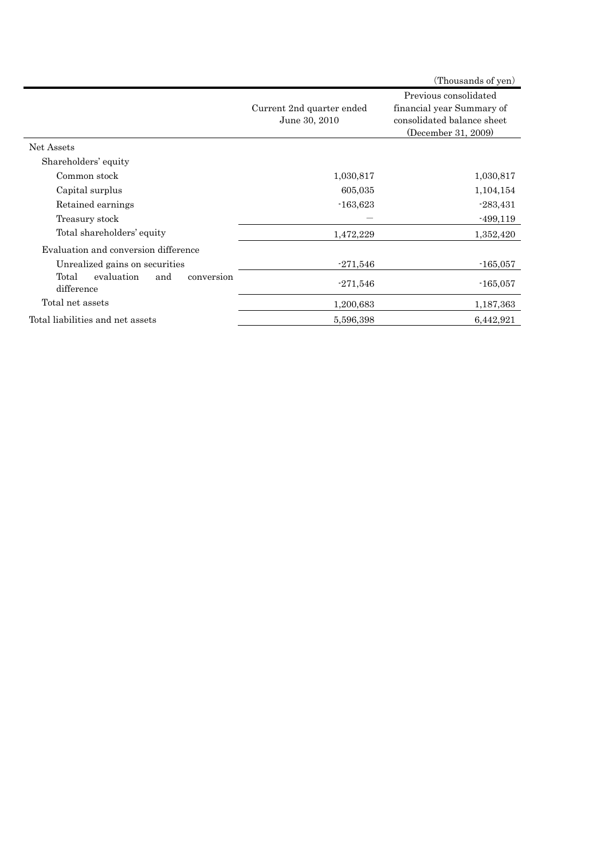|                                                        |                                            | (Thousands of yen)                                                                                      |
|--------------------------------------------------------|--------------------------------------------|---------------------------------------------------------------------------------------------------------|
|                                                        | Current 2nd quarter ended<br>June 30, 2010 | Previous consolidated<br>financial year Summary of<br>consolidated balance sheet<br>(December 31, 2009) |
| Net Assets                                             |                                            |                                                                                                         |
| Shareholders' equity                                   |                                            |                                                                                                         |
| Common stock                                           | 1,030,817                                  | 1,030,817                                                                                               |
| Capital surplus                                        | 605,035                                    | 1,104,154                                                                                               |
| Retained earnings                                      | $-163,623$                                 | $-283,431$                                                                                              |
| Treasury stock                                         |                                            | $-499,119$                                                                                              |
| Total shareholders' equity                             | 1,472,229                                  | 1,352,420                                                                                               |
| Evaluation and conversion difference                   |                                            |                                                                                                         |
| Unrealized gains on securities                         | $-271,546$                                 | $-165,057$                                                                                              |
| Total<br>evaluation<br>and<br>conversion<br>difference | $-271,546$                                 | $-165,057$                                                                                              |
| Total net assets                                       | 1,200,683                                  | 1,187,363                                                                                               |
| Total liabilities and net assets                       | 5,596,398                                  | 6,442,921                                                                                               |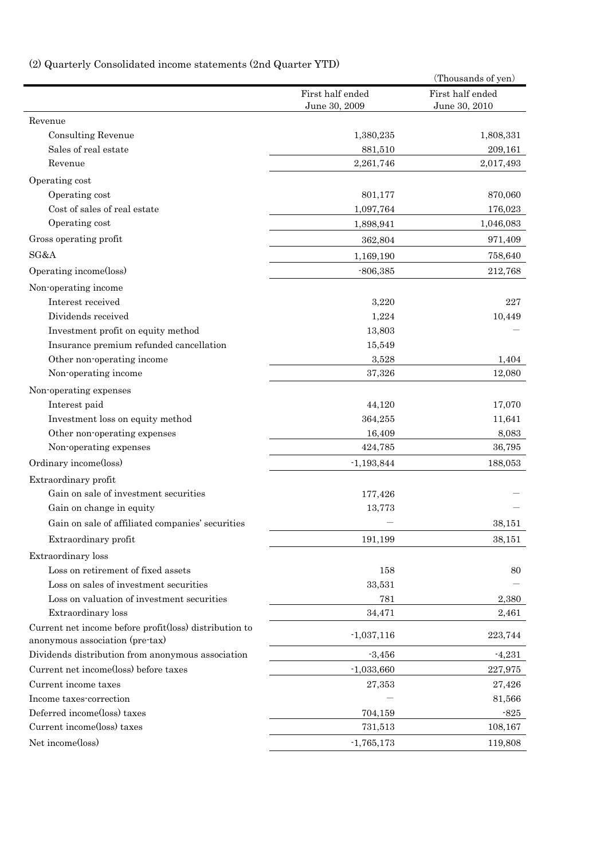# (2) Quarterly Consolidated income statements (2nd Quarter YTD)

|                                                                                           |                                   | (Thousands of yen)                |
|-------------------------------------------------------------------------------------------|-----------------------------------|-----------------------------------|
|                                                                                           | First half ended<br>June 30, 2009 | First half ended<br>June 30, 2010 |
| Revenue                                                                                   |                                   |                                   |
| <b>Consulting Revenue</b>                                                                 | 1,380,235                         | 1,808,331                         |
| Sales of real estate                                                                      | 881,510                           | 209,161                           |
| Revenue                                                                                   | 2,261,746                         | 2,017,493                         |
| Operating cost                                                                            |                                   |                                   |
| Operating cost                                                                            | 801,177                           | 870,060                           |
| Cost of sales of real estate                                                              | 1,097,764                         | 176,023                           |
| Operating cost                                                                            | 1,898,941                         | 1,046,083                         |
| Gross operating profit                                                                    | 362,804                           | 971,409                           |
| SG&A                                                                                      | 1,169,190                         | 758,640                           |
| Operating income(loss)                                                                    | $-806,385$                        | 212,768                           |
| Non-operating income                                                                      |                                   |                                   |
| Interest received                                                                         | 3,220                             | 227                               |
| Dividends received                                                                        | 1,224                             | 10,449                            |
| Investment profit on equity method                                                        | 13,803                            |                                   |
| Insurance premium refunded cancellation                                                   | 15,549                            |                                   |
| Other non-operating income                                                                | 3,528                             | 1,404                             |
| Non-operating income                                                                      | 37,326                            | 12,080                            |
| Non-operating expenses                                                                    |                                   |                                   |
| Interest paid                                                                             | 44,120                            | 17,070                            |
| Investment loss on equity method                                                          | 364,255                           | 11,641                            |
| Other non-operating expenses                                                              | 16,409                            | 8,083                             |
| Non-operating expenses                                                                    | 424,785                           | 36,795                            |
| Ordinary income(loss)                                                                     | $-1,193,844$                      | 188,053                           |
|                                                                                           |                                   |                                   |
| Extraordinary profit<br>Gain on sale of investment securities                             |                                   |                                   |
|                                                                                           | 177,426                           |                                   |
| Gain on change in equity                                                                  | 13,773                            |                                   |
| Gain on sale of affiliated companies' securities                                          |                                   | 38,151                            |
| Extraordinary profit                                                                      | 191,199                           | 38,151                            |
| Extraordinary loss                                                                        |                                   |                                   |
| Loss on retirement of fixed assets                                                        | 158                               | 80                                |
| Loss on sales of investment securities                                                    | 33,531                            |                                   |
| Loss on valuation of investment securities                                                | 781                               | 2,380                             |
| Extraordinary loss                                                                        | 34,471                            | 2,461                             |
| Current net income before profit(loss) distribution to<br>anonymous association (pre-tax) | $-1,037,116$                      | 223,744                           |
| Dividends distribution from anonymous association                                         | $-3,456$                          | $-4,231$                          |
| Current net income(loss) before taxes                                                     | $-1,033,660$                      | 227,975                           |
| Current income taxes                                                                      | 27,353                            | 27,426                            |
| Income taxes-correction                                                                   |                                   | 81,566                            |
| Deferred income(loss) taxes                                                               | 704,159                           | $-825$                            |
| Current income(loss) taxes                                                                | 731,513                           | 108,167                           |
| Net income(loss)                                                                          | $-1,765,173$                      | 119,808                           |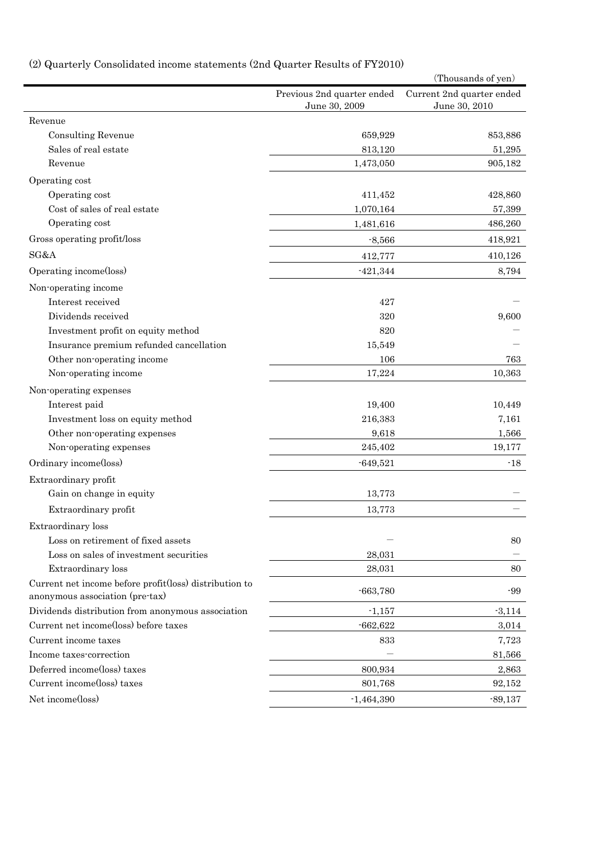# (2) Quarterly Consolidated income statements (2nd Quarter Results of FY2010)

| Previous 2nd quarter ended<br>Current 2nd quarter ended<br>June 30, 2009<br>June 30, 2010<br>Revenue<br><b>Consulting Revenue</b><br>659,929<br>853,886<br>Sales of real estate<br>813,120<br>51,295<br>1,473,050<br>Revenue<br>905,182<br>Operating cost<br>Operating cost<br>411,452<br>428,860<br>Cost of sales of real estate<br>1,070,164<br>57,399<br>Operating cost<br>486,260<br>1,481,616<br>Gross operating profit/loss<br>$-8,566$<br>418,921<br>SG&A<br>412,777<br>410,126<br>Operating income(loss)<br>$-421,344$<br>8,794<br>Non-operating income<br>Interest received<br>427<br>Dividends received<br>320<br>9,600<br>Investment profit on equity method<br>820<br>Insurance premium refunded cancellation<br>15,549<br>Other non-operating income<br>106<br>763<br>Non-operating income<br>17,224<br>10,363<br>Non-operating expenses<br>Interest paid<br>19,400<br>10,449<br>216,383<br>7,161<br>Investment loss on equity method<br>Other non-operating expenses<br>9,618<br>1,566<br>Non-operating expenses<br>245,402<br>19,177<br>Ordinary income(loss)<br>$-18$<br>$-649,521$<br>Extraordinary profit<br>Gain on change in equity<br>13,773<br>Extraordinary profit<br>13,773<br>Extraordinary loss<br>Loss on retirement of fixed assets<br>80<br>Loss on sales of investment securities<br>28,031<br>Extraordinary loss<br>28,031<br>80 |
|-----------------------------------------------------------------------------------------------------------------------------------------------------------------------------------------------------------------------------------------------------------------------------------------------------------------------------------------------------------------------------------------------------------------------------------------------------------------------------------------------------------------------------------------------------------------------------------------------------------------------------------------------------------------------------------------------------------------------------------------------------------------------------------------------------------------------------------------------------------------------------------------------------------------------------------------------------------------------------------------------------------------------------------------------------------------------------------------------------------------------------------------------------------------------------------------------------------------------------------------------------------------------------------------------------------------------------------------------------------------|
|                                                                                                                                                                                                                                                                                                                                                                                                                                                                                                                                                                                                                                                                                                                                                                                                                                                                                                                                                                                                                                                                                                                                                                                                                                                                                                                                                                 |
|                                                                                                                                                                                                                                                                                                                                                                                                                                                                                                                                                                                                                                                                                                                                                                                                                                                                                                                                                                                                                                                                                                                                                                                                                                                                                                                                                                 |
|                                                                                                                                                                                                                                                                                                                                                                                                                                                                                                                                                                                                                                                                                                                                                                                                                                                                                                                                                                                                                                                                                                                                                                                                                                                                                                                                                                 |
|                                                                                                                                                                                                                                                                                                                                                                                                                                                                                                                                                                                                                                                                                                                                                                                                                                                                                                                                                                                                                                                                                                                                                                                                                                                                                                                                                                 |
|                                                                                                                                                                                                                                                                                                                                                                                                                                                                                                                                                                                                                                                                                                                                                                                                                                                                                                                                                                                                                                                                                                                                                                                                                                                                                                                                                                 |
|                                                                                                                                                                                                                                                                                                                                                                                                                                                                                                                                                                                                                                                                                                                                                                                                                                                                                                                                                                                                                                                                                                                                                                                                                                                                                                                                                                 |
|                                                                                                                                                                                                                                                                                                                                                                                                                                                                                                                                                                                                                                                                                                                                                                                                                                                                                                                                                                                                                                                                                                                                                                                                                                                                                                                                                                 |
|                                                                                                                                                                                                                                                                                                                                                                                                                                                                                                                                                                                                                                                                                                                                                                                                                                                                                                                                                                                                                                                                                                                                                                                                                                                                                                                                                                 |
|                                                                                                                                                                                                                                                                                                                                                                                                                                                                                                                                                                                                                                                                                                                                                                                                                                                                                                                                                                                                                                                                                                                                                                                                                                                                                                                                                                 |
|                                                                                                                                                                                                                                                                                                                                                                                                                                                                                                                                                                                                                                                                                                                                                                                                                                                                                                                                                                                                                                                                                                                                                                                                                                                                                                                                                                 |
|                                                                                                                                                                                                                                                                                                                                                                                                                                                                                                                                                                                                                                                                                                                                                                                                                                                                                                                                                                                                                                                                                                                                                                                                                                                                                                                                                                 |
|                                                                                                                                                                                                                                                                                                                                                                                                                                                                                                                                                                                                                                                                                                                                                                                                                                                                                                                                                                                                                                                                                                                                                                                                                                                                                                                                                                 |
|                                                                                                                                                                                                                                                                                                                                                                                                                                                                                                                                                                                                                                                                                                                                                                                                                                                                                                                                                                                                                                                                                                                                                                                                                                                                                                                                                                 |
|                                                                                                                                                                                                                                                                                                                                                                                                                                                                                                                                                                                                                                                                                                                                                                                                                                                                                                                                                                                                                                                                                                                                                                                                                                                                                                                                                                 |
|                                                                                                                                                                                                                                                                                                                                                                                                                                                                                                                                                                                                                                                                                                                                                                                                                                                                                                                                                                                                                                                                                                                                                                                                                                                                                                                                                                 |
|                                                                                                                                                                                                                                                                                                                                                                                                                                                                                                                                                                                                                                                                                                                                                                                                                                                                                                                                                                                                                                                                                                                                                                                                                                                                                                                                                                 |
|                                                                                                                                                                                                                                                                                                                                                                                                                                                                                                                                                                                                                                                                                                                                                                                                                                                                                                                                                                                                                                                                                                                                                                                                                                                                                                                                                                 |
|                                                                                                                                                                                                                                                                                                                                                                                                                                                                                                                                                                                                                                                                                                                                                                                                                                                                                                                                                                                                                                                                                                                                                                                                                                                                                                                                                                 |
|                                                                                                                                                                                                                                                                                                                                                                                                                                                                                                                                                                                                                                                                                                                                                                                                                                                                                                                                                                                                                                                                                                                                                                                                                                                                                                                                                                 |
|                                                                                                                                                                                                                                                                                                                                                                                                                                                                                                                                                                                                                                                                                                                                                                                                                                                                                                                                                                                                                                                                                                                                                                                                                                                                                                                                                                 |
|                                                                                                                                                                                                                                                                                                                                                                                                                                                                                                                                                                                                                                                                                                                                                                                                                                                                                                                                                                                                                                                                                                                                                                                                                                                                                                                                                                 |
|                                                                                                                                                                                                                                                                                                                                                                                                                                                                                                                                                                                                                                                                                                                                                                                                                                                                                                                                                                                                                                                                                                                                                                                                                                                                                                                                                                 |
|                                                                                                                                                                                                                                                                                                                                                                                                                                                                                                                                                                                                                                                                                                                                                                                                                                                                                                                                                                                                                                                                                                                                                                                                                                                                                                                                                                 |
|                                                                                                                                                                                                                                                                                                                                                                                                                                                                                                                                                                                                                                                                                                                                                                                                                                                                                                                                                                                                                                                                                                                                                                                                                                                                                                                                                                 |
|                                                                                                                                                                                                                                                                                                                                                                                                                                                                                                                                                                                                                                                                                                                                                                                                                                                                                                                                                                                                                                                                                                                                                                                                                                                                                                                                                                 |
|                                                                                                                                                                                                                                                                                                                                                                                                                                                                                                                                                                                                                                                                                                                                                                                                                                                                                                                                                                                                                                                                                                                                                                                                                                                                                                                                                                 |
|                                                                                                                                                                                                                                                                                                                                                                                                                                                                                                                                                                                                                                                                                                                                                                                                                                                                                                                                                                                                                                                                                                                                                                                                                                                                                                                                                                 |
|                                                                                                                                                                                                                                                                                                                                                                                                                                                                                                                                                                                                                                                                                                                                                                                                                                                                                                                                                                                                                                                                                                                                                                                                                                                                                                                                                                 |
|                                                                                                                                                                                                                                                                                                                                                                                                                                                                                                                                                                                                                                                                                                                                                                                                                                                                                                                                                                                                                                                                                                                                                                                                                                                                                                                                                                 |
|                                                                                                                                                                                                                                                                                                                                                                                                                                                                                                                                                                                                                                                                                                                                                                                                                                                                                                                                                                                                                                                                                                                                                                                                                                                                                                                                                                 |
|                                                                                                                                                                                                                                                                                                                                                                                                                                                                                                                                                                                                                                                                                                                                                                                                                                                                                                                                                                                                                                                                                                                                                                                                                                                                                                                                                                 |
|                                                                                                                                                                                                                                                                                                                                                                                                                                                                                                                                                                                                                                                                                                                                                                                                                                                                                                                                                                                                                                                                                                                                                                                                                                                                                                                                                                 |
| Current net income before profit(loss) distribution to<br>$-663,780$<br>$-99$<br>anonymous association (pre-tax)                                                                                                                                                                                                                                                                                                                                                                                                                                                                                                                                                                                                                                                                                                                                                                                                                                                                                                                                                                                                                                                                                                                                                                                                                                                |
| Dividends distribution from anonymous association<br>$-3,114$<br>$-1,157$                                                                                                                                                                                                                                                                                                                                                                                                                                                                                                                                                                                                                                                                                                                                                                                                                                                                                                                                                                                                                                                                                                                                                                                                                                                                                       |
| Current net income(loss) before taxes<br>$-662,622$<br>3,014                                                                                                                                                                                                                                                                                                                                                                                                                                                                                                                                                                                                                                                                                                                                                                                                                                                                                                                                                                                                                                                                                                                                                                                                                                                                                                    |
| Current income taxes<br>7,723<br>833                                                                                                                                                                                                                                                                                                                                                                                                                                                                                                                                                                                                                                                                                                                                                                                                                                                                                                                                                                                                                                                                                                                                                                                                                                                                                                                            |
| Income taxes-correction<br>81,566                                                                                                                                                                                                                                                                                                                                                                                                                                                                                                                                                                                                                                                                                                                                                                                                                                                                                                                                                                                                                                                                                                                                                                                                                                                                                                                               |
| Deferred income(loss) taxes<br>2,863<br>800,934                                                                                                                                                                                                                                                                                                                                                                                                                                                                                                                                                                                                                                                                                                                                                                                                                                                                                                                                                                                                                                                                                                                                                                                                                                                                                                                 |
| Current income(loss) taxes<br>801,768<br>92,152                                                                                                                                                                                                                                                                                                                                                                                                                                                                                                                                                                                                                                                                                                                                                                                                                                                                                                                                                                                                                                                                                                                                                                                                                                                                                                                 |
| Net income(loss)<br>$-1,464,390$<br>$-89,137$                                                                                                                                                                                                                                                                                                                                                                                                                                                                                                                                                                                                                                                                                                                                                                                                                                                                                                                                                                                                                                                                                                                                                                                                                                                                                                                   |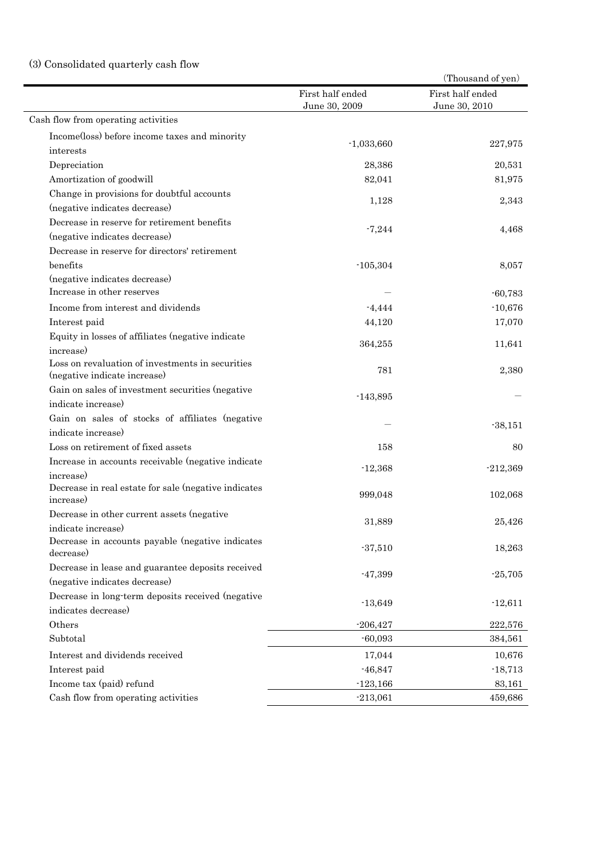## (3) Consolidated quarterly cash flow

|                                                                                  |                                   | (Thousand of yen)                 |
|----------------------------------------------------------------------------------|-----------------------------------|-----------------------------------|
|                                                                                  | First half ended<br>June 30, 2009 | First half ended<br>June 30, 2010 |
| Cash flow from operating activities                                              |                                   |                                   |
| Income(loss) before income taxes and minority                                    |                                   |                                   |
| interests                                                                        | $-1,033,660$                      | 227,975                           |
| Depreciation                                                                     | 28,386                            | 20,531                            |
| Amortization of goodwill                                                         | 82,041                            | 81,975                            |
| Change in provisions for doubtful accounts                                       |                                   |                                   |
| (negative indicates decrease)                                                    | 1,128                             | 2,343                             |
| Decrease in reserve for retirement benefits                                      |                                   |                                   |
| (negative indicates decrease)                                                    | $-7,244$                          | 4,468                             |
| Decrease in reserve for directors' retirement                                    |                                   |                                   |
| benefits                                                                         | $-105,304$                        | 8,057                             |
| (negative indicates decrease)                                                    |                                   |                                   |
| Increase in other reserves                                                       |                                   | $-60,783$                         |
| Income from interest and dividends                                               | $-4,444$                          | $-10,676$                         |
| Interest paid                                                                    | 44,120                            | 17,070                            |
| Equity in losses of affiliates (negative indicate                                |                                   |                                   |
| increase)                                                                        | 364,255                           | 11,641                            |
| Loss on revaluation of investments in securities<br>(negative indicate increase) | 781                               | 2,380                             |
| Gain on sales of investment securities (negative                                 |                                   |                                   |
| indicate increase)                                                               | $-143,895$                        |                                   |
| Gain on sales of stocks of affiliates (negative                                  |                                   |                                   |
| indicate increase)                                                               |                                   | $-38,151$                         |
| Loss on retirement of fixed assets                                               | 158                               | 80                                |
| Increase in accounts receivable (negative indicate                               |                                   |                                   |
| increase)                                                                        | $-12,368$                         | $-212,369$                        |
| Decrease in real estate for sale (negative indicates<br>increase)                | 999,048                           | 102,068                           |
| Decrease in other current assets (negative                                       |                                   |                                   |
| indicate increase)                                                               | 31,889                            | 25,426                            |
| Decrease in accounts payable (negative indicates<br>decrease)                    | $-37,510$                         | 18,263                            |
| Decrease in lease and guarantee deposits received                                |                                   |                                   |
| (negative indicates decrease)                                                    | $-47,399$                         | $-25,705$                         |
| Decrease in long-term deposits received (negative                                |                                   |                                   |
| indicates decrease)                                                              | $-13,649$                         | $-12,611$                         |
| Others                                                                           | $-206,427$                        | 222,576                           |
| Subtotal                                                                         | $-60,093$                         | 384,561                           |
| Interest and dividends received                                                  | 17,044                            | 10,676                            |
| Interest paid                                                                    | $-46,847$                         | $-18,713$                         |
| Income tax (paid) refund                                                         | $-123,166$                        | 83,161                            |
| Cash flow from operating activities                                              | $-213,061$                        | 459,686                           |